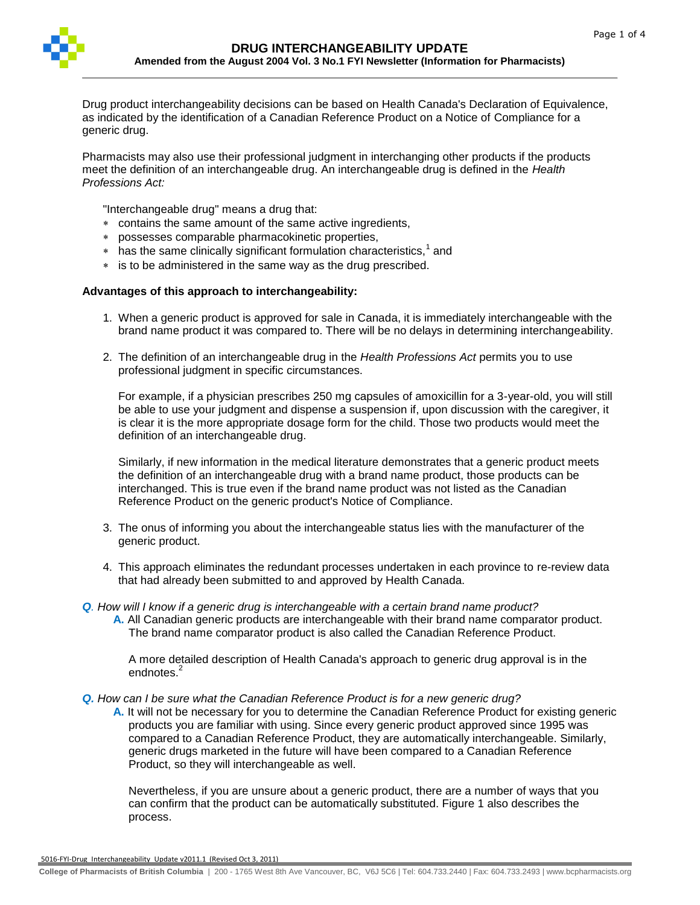

Drug product interchangeability decisions can be based on Health Canada's Declaration of Equivalence, as indicated by the identification of a Canadian Reference Product on a Notice of Compliance for a generic drug.

Pharmacists may also use their professional judgment in interchanging other products if the products meet the definition of an interchangeable drug. An interchangeable drug is defined in the *Health Professions Act:*

"Interchangeable drug" means a drug that:

- contains the same amount of the same active ingredients,
- possesses comparable pharmacokinetic properties,
- $*$  has the same clinically significant formulation characteristics, $1$  and
- is to be administered in the same way as the drug prescribed.

## **Advantages of this approach to interchangeability:**

- 1. When a generic product is approved for sale in Canada, it is immediately interchangeable with the brand name product it was compared to. There will be no delays in determining interchangeability.
- 2. The definition of an interchangeable drug in the *Health Professions Act* permits you to use professional judgment in specific circumstances.

For example, if a physician prescribes 250 mg capsules of amoxicillin for a 3-year-old, you will still be able to use your judgment and dispense a suspension if, upon discussion with the caregiver, it is clear it is the more appropriate dosage form for the child. Those two products would meet the definition of an interchangeable drug.

Similarly, if new information in the medical literature demonstrates that a generic product meets the definition of an interchangeable drug with a brand name product, those products can be interchanged. This is true even if the brand name product was not listed as the Canadian Reference Product on the generic product's Notice of Compliance.

- 3. The onus of informing you about the interchangeable status lies with the manufacturer of the generic product.
- 4. This approach eliminates the redundant processes undertaken in each province to re-review data that had already been submitted to and approved by Health Canada.
- *Q. How will I know if a generic drug is interchangeable with a certain brand name product?*
	- **A.** All Canadian generic products are interchangeable with their brand name comparator product. The brand name comparator product is also called the Canadian Reference Product.

A more detailed description of Health Canada's approach to generic drug approval is in the endnotes.<sup>2</sup>

*Q. How can I be sure what the Canadian Reference Product is for a new generic drug?*

**A.** It will not be necessary for you to determine the Canadian Reference Product for existing generic products you are familiar with using. Since every generic product approved since 1995 was compared to a Canadian Reference Product, they are automatically interchangeable. Similarly, generic drugs marketed in the future will have been compared to a Canadian Reference Product, so they will interchangeable as well.

Nevertheless, if you are unsure about a generic product, there are a number of ways that you can confirm that the product can be automatically substituted. Figure 1 also describes the process.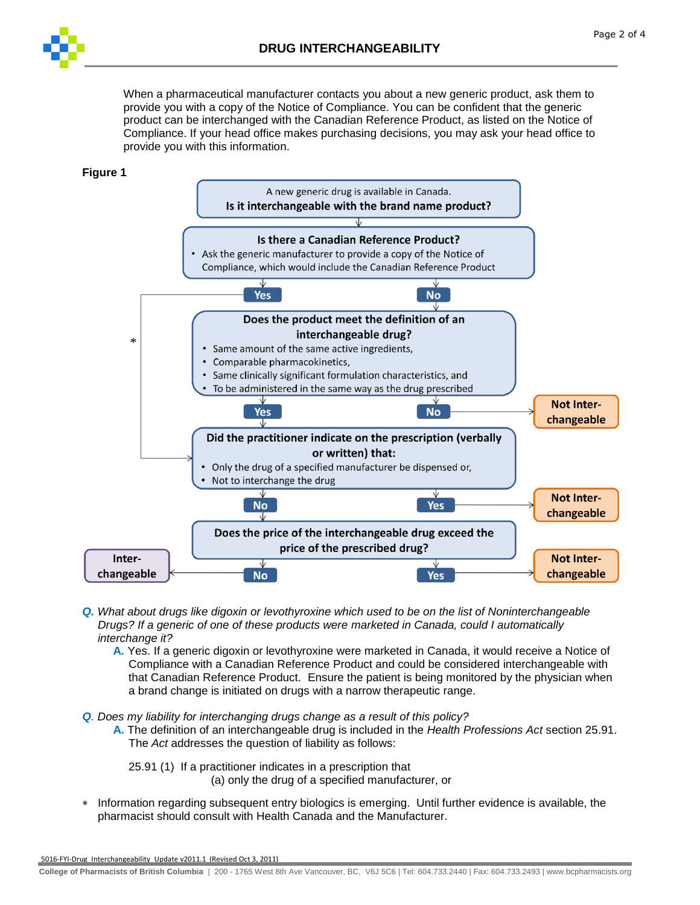When a pharmaceutical manufacturer contacts you about a new generic product, ask them to provide you with a copy of the Notice of Compliance. You can be confident that the generic product can be interchanged with the Canadian Reference Product, as listed on the Notice of Compliance. If your head office makes purchasing decisions, you may ask your head office to provide you with this information.

## **Figure 1**



- *Q. What about drugs like digoxin or levothyroxine which used to be on the list of Noninterchangeable Drugs? If a generic of one of these products were marketed in Canada, could I automatically interchange it?*
	- **A.** Yes. If a generic digoxin or levothyroxine were marketed in Canada, it would receive a Notice of Compliance with a Canadian Reference Product and could be considered interchangeable with that Canadian Reference Product. Ensure the patient is being monitored by the physician when a brand change is initiated on drugs with a narrow therapeutic range.

*Q. Does my liability for interchanging drugs change as a result of this policy?*

**A.** The definition of an interchangeable drug is included in the *Health Professions Act* section 25.91. The *Act* addresses the question of liability as follows:

25.91 (1) If a practitioner indicates in a prescription that (a) only the drug of a specified manufacturer, or

 Information regarding subsequent entry biologics is emerging. Until further evidence is available, the pharmacist should consult with Health Canada and the Manufacturer.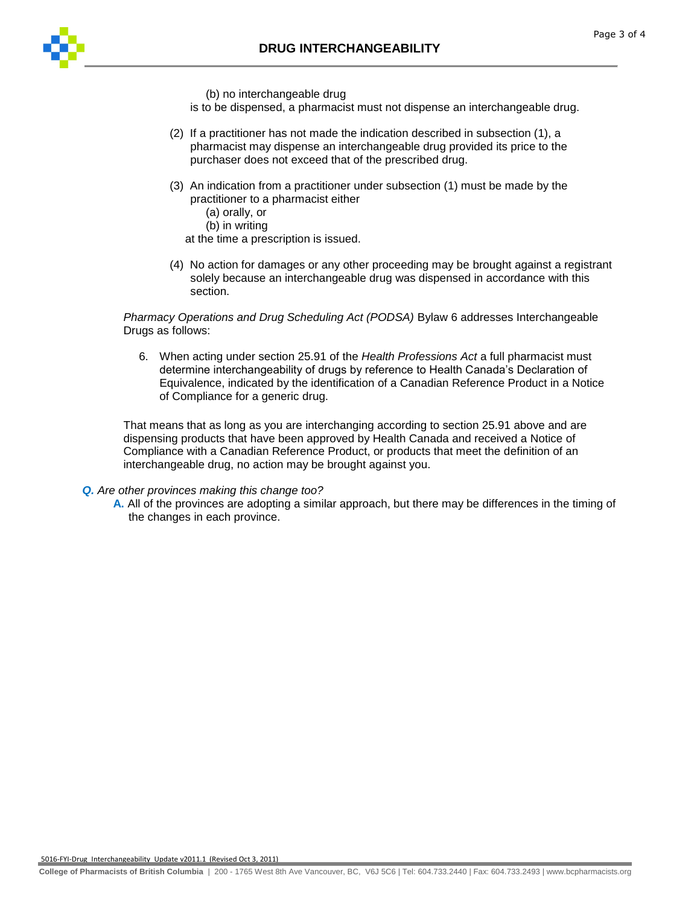

(b) no interchangeable drug

is to be dispensed, a pharmacist must not dispense an interchangeable drug.

- (2) If a practitioner has not made the indication described in subsection (1), a pharmacist may dispense an interchangeable drug provided its price to the purchaser does not exceed that of the prescribed drug.
- (3) An indication from a practitioner under subsection (1) must be made by the practitioner to a pharmacist either
	- (a) orally, or
	- (b) in writing

at the time a prescription is issued.

(4) No action for damages or any other proceeding may be brought against a registrant solely because an interchangeable drug was dispensed in accordance with this section.

*Pharmacy Operations and Drug Scheduling Act (PODSA)* Bylaw 6 addresses Interchangeable Drugs as follows:

6. When acting under section 25.91 of the *Health Professions Act* a full pharmacist must determine interchangeability of drugs by reference to Health Canada's Declaration of Equivalence, indicated by the identification of a Canadian Reference Product in a Notice of Compliance for a generic drug.

That means that as long as you are interchanging according to section 25.91 above and are dispensing products that have been approved by Health Canada and received a Notice of Compliance with a Canadian Reference Product, or products that meet the definition of an interchangeable drug, no action may be brought against you.

## *Q. Are other provinces making this change too?*

**A.** All of the provinces are adopting a similar approach, but there may be differences in the timing of the changes in each province.